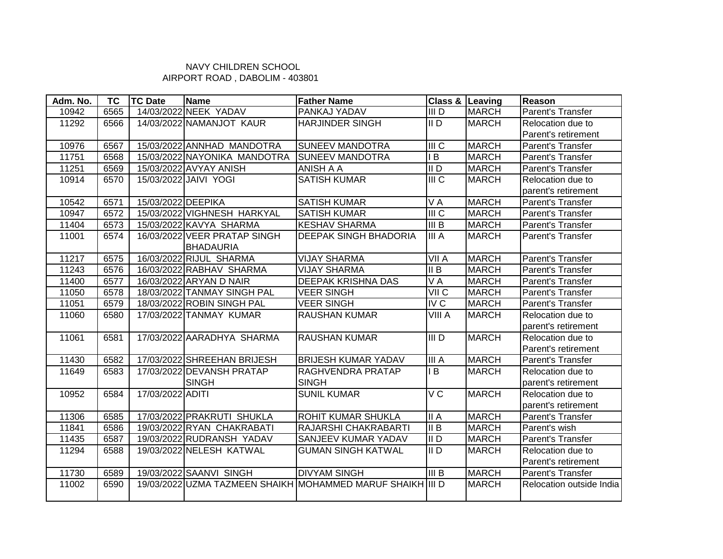## NAVY CHILDREN SCHOOL AIRPORT ROAD , DABOLIM - 403801

| Adm. No. | <b>TC</b> | <b>TC Date</b>     | Name                         | <b>Father Name</b>                                         | Class & Leaving                        |              | Reason                   |
|----------|-----------|--------------------|------------------------------|------------------------------------------------------------|----------------------------------------|--------------|--------------------------|
| 10942    | 6565      |                    | 14/03/2022 NEEK YADAV        | PANKAJ YADAV                                               | III <sub>D</sub>                       | <b>MARCH</b> | Parent's Transfer        |
| 11292    | 6566      |                    | 14/03/2022 NAMANJOT KAUR     | <b>HARJINDER SINGH</b>                                     | II <sub>D</sub>                        | <b>MARCH</b> | Relocation due to        |
|          |           |                    |                              |                                                            |                                        |              | Parent's retirement      |
| 10976    | 6567      |                    | 15/03/2022 ANNHAD MANDOTRA   | <b>SUNEEV MANDOTRA</b>                                     | $\overline{\mathbb{I} \mathbb{C}}$     | <b>MARCH</b> | Parent's Transfer        |
| 11751    | 6568      |                    | 15/03/2022 NAYONIKA MANDOTRA | <b>SUNEEV MANDOTRA</b>                                     | $\overline{AB}$                        | <b>MARCH</b> | Parent's Transfer        |
| 11251    | 6569      |                    | 15/03/2022 AVYAY ANISH       | ANISH A A                                                  | II <sub>D</sub>                        | <b>MARCH</b> | Parent's Transfer        |
| 10914    | 6570      |                    | 15/03/2022 JAIVI YOGI        | SATISH KUMAR                                               | III <sub>C</sub>                       | <b>MARCH</b> | Relocation due to        |
|          |           |                    |                              |                                                            |                                        |              | parent's retirement      |
| 10542    | 6571      | 15/03/2022 DEEPIKA |                              | <b>SATISH KUMAR</b>                                        | $\overline{V}$ A                       | <b>MARCH</b> | Parent's Transfer        |
| 10947    | 6572      |                    | 15/03/2022 VIGHNESH HARKYAL  | <b>SATISH KUMAR</b>                                        | $\overline{m}$                         | <b>MARCH</b> | Parent's Transfer        |
| 11404    | 6573      |                    | 15/03/2022 KAVYA SHARMA      | <b>KESHAV SHARMA</b>                                       | III B                                  | <b>MARCH</b> | Parent's Transfer        |
| 11001    | 6574      |                    | 16/03/2022 VEER PRATAP SINGH | <b>DEEPAK SINGH BHADORIA</b>                               | III A                                  | <b>MARCH</b> | Parent's Transfer        |
|          |           |                    | <b>BHADAURIA</b>             |                                                            |                                        |              |                          |
| 11217    | 6575      |                    | 16/03/2022 RIJUL SHARMA      | <b>VIJAY SHARMA</b>                                        | VII A                                  | <b>MARCH</b> | Parent's Transfer        |
| 11243    | 6576      |                    | 16/03/2022 RABHAV SHARMA     | <b>VIJAY SHARMA</b>                                        | II B                                   | <b>MARCH</b> | Parent's Transfer        |
| 11400    | 6577      |                    | 16/03/2022 ARYAN D NAIR      | DEEPAK KRISHNA DAS                                         | VA                                     | <b>MARCH</b> | Parent's Transfer        |
| 11050    | 6578      |                    | 18/03/2022 TANMAY SINGH PAL  | <b>VEER SINGH</b>                                          | VII <sub>C</sub>                       | <b>MARCH</b> | Parent's Transfer        |
| 11051    | 6579      |                    | 18/03/2022 ROBIN SINGH PAL   | <b>VEER SINGH</b>                                          | IV <sub>C</sub>                        | <b>MARCH</b> | Parent's Transfer        |
| 11060    | 6580      |                    | 17/03/2022 TANMAY KUMAR      | RAUSHAN KUMAR                                              | VIII A                                 | <b>MARCH</b> | Relocation due to        |
|          |           |                    |                              |                                                            |                                        |              | parent's retirement      |
| 11061    | 6581      |                    | 17/03/2022 AARADHYA SHARMA   | <b>RAUSHAN KUMAR</b>                                       | $\overline{\overline{\mathsf{III}}}$ D | <b>MARCH</b> | Relocation due to        |
|          |           |                    |                              |                                                            |                                        |              | Parent's retirement      |
| 11430    | 6582      |                    | 17/03/2022 SHREEHAN BRIJESH  | <b>BRIJESH KUMAR YADAV</b>                                 | III A                                  | <b>MARCH</b> | Parent's Transfer        |
| 11649    | 6583      |                    | 17/03/2022 DEVANSH PRATAP    | RAGHVENDRA PRATAP                                          | IB                                     | <b>MARCH</b> | Relocation due to        |
|          |           |                    | <b>SINGH</b>                 | <b>SINGH</b>                                               |                                        |              | parent's retirement      |
| 10952    | 6584      | 17/03/2022 ADITI   |                              | <b>SUNIL KUMAR</b>                                         | V <sub>C</sub>                         | <b>MARCH</b> | Relocation due to        |
|          |           |                    |                              |                                                            |                                        |              | parent's retirement      |
| 11306    | 6585      |                    | 17/03/2022 PRAKRUTI SHUKLA   | ROHIT KUMAR SHUKLA                                         | II A                                   | <b>MARCH</b> | Parent's Transfer        |
| 11841    | 6586      |                    | 19/03/2022 RYAN CHAKRABATI   | RAJARSHI CHAKRABARTI                                       | $\parallel$ B                          | <b>MARCH</b> | Parent's wish            |
| 11435    | 6587      |                    | 19/03/2022 RUDRANSH YADAV    | SANJEEV KUMAR YADAV                                        | II <sub>D</sub>                        | <b>MARCH</b> | Parent's Transfer        |
| 11294    | 6588      |                    | 19/03/2022 NELESH KATWAL     | <b>GUMAN SINGH KATWAL</b>                                  | II <sub>D</sub>                        | <b>MARCH</b> | Relocation due to        |
|          |           |                    |                              |                                                            |                                        |              | Parent's retirement      |
| 11730    | 6589      |                    | 19/03/2022 SAANVI SINGH      | <b>DIVYAM SINGH</b>                                        | III B                                  | <b>MARCH</b> | Parent's Transfer        |
| 11002    | 6590      |                    |                              | 19/03/2022 UZMA TAZMEEN SHAIKH MOHAMMED MARUF SHAIKH III D |                                        | <b>MARCH</b> | Relocation outside India |
|          |           |                    |                              |                                                            |                                        |              |                          |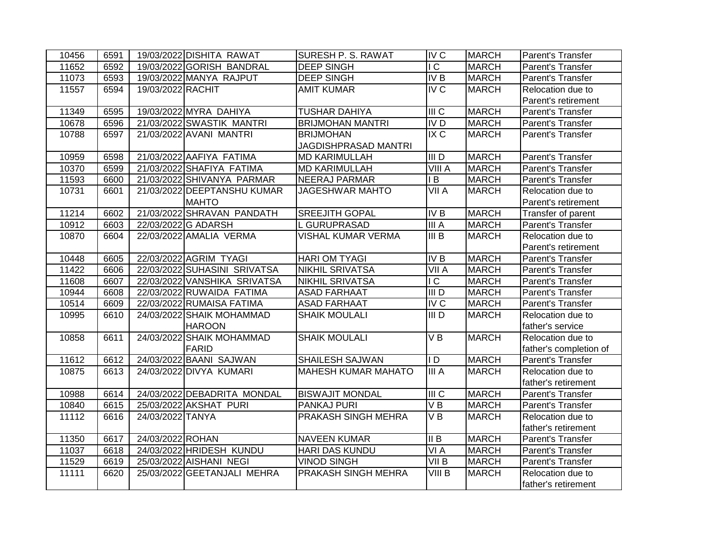| 10456 | 6591 |                   | 19/03/2022 DISHITA RAWAT     | SURESH P. S. RAWAT         | IV <sub>C</sub>                    | <b>MARCH</b> | Parent's Transfer        |
|-------|------|-------------------|------------------------------|----------------------------|------------------------------------|--------------|--------------------------|
| 11652 | 6592 |                   | 19/03/2022 GORISH BANDRAL    | <b>DEEP SINGH</b>          | $\overline{C}$                     | <b>MARCH</b> | <b>Parent's Transfer</b> |
| 11073 | 6593 |                   | 19/03/2022 MANYA RAJPUT      | <b>DEEP SINGH</b>          | <b>IVB</b>                         | <b>MARCH</b> | Parent's Transfer        |
| 11557 | 6594 | 19/03/2022 RACHIT |                              | <b>AMIT KUMAR</b>          | <b>IV C</b>                        | <b>MARCH</b> | Relocation due to        |
|       |      |                   |                              |                            |                                    |              | Parent's retirement      |
| 11349 | 6595 |                   | 19/03/2022 MYRA DAHIYA       | <b>TUSHAR DAHIYA</b>       | III <sub>C</sub>                   | <b>MARCH</b> | Parent's Transfer        |
| 10678 | 6596 |                   | 21/03/2022 SWASTIK MANTRI    | <b>BRIJMOHAN MANTRI</b>    | IV <sub>D</sub>                    | <b>MARCH</b> | Parent's Transfer        |
| 10788 | 6597 |                   | 21/03/2022 AVANI MANTRI      | <b>BRIJMOHAN</b>           | IX C                               | <b>MARCH</b> | Parent's Transfer        |
|       |      |                   |                              | JAGDISHPRASAD MANTRI       |                                    |              |                          |
| 10959 | 6598 |                   | 21/03/2022 AAFIYA FATIMA     | <b>MD KARIMULLAH</b>       | III <sub>D</sub>                   | <b>MARCH</b> | Parent's Transfer        |
| 10370 | 6599 |                   | 21/03/2022 SHAFIYA FATIMA    | <b>MD KARIMULLAH</b>       | <b>VIII A</b>                      | <b>MARCH</b> | Parent's Transfer        |
| 11593 | 6600 |                   | 21/03/2022 SHIVANYA PARMAR   | <b>NEERAJ PARMAR</b>       | IB                                 | <b>MARCH</b> | Parent's Transfer        |
| 10731 | 6601 |                   | 21/03/2022 DEEPTANSHU KUMAR  | <b>JAGESHWAR MAHTO</b>     | VII A                              | <b>MARCH</b> | Relocation due to        |
|       |      |                   | <b>MAHTO</b>                 |                            |                                    |              | Parent's retirement      |
| 11214 | 6602 |                   | 21/03/2022 SHRAVAN PANDATH   | <b>SREEJITH GOPAL</b>      | IVB                                | <b>MARCH</b> | Transfer of parent       |
| 10912 | 6603 |                   | 22/03/2022 G ADARSH          | L GURUPRASAD               | III A                              | <b>MARCH</b> | Parent's Transfer        |
| 10870 | 6604 |                   | 22/03/2022 AMALIA VERMA      | VISHAL KUMAR VERMA         | III B                              | <b>MARCH</b> | Relocation due to        |
|       |      |                   |                              |                            |                                    |              | Parent's retirement      |
| 10448 | 6605 |                   | 22/03/2022 AGRIM TYAGI       | <b>HARI OM TYAGI</b>       | <b>IVB</b>                         | <b>MARCH</b> | Parent's Transfer        |
| 11422 | 6606 |                   | 22/03/2022 SUHASINI SRIVATSA | <b>NIKHIL SRIVATSA</b>     | VII A                              | <b>MARCH</b> | Parent's Transfer        |
| 11608 | 6607 |                   | 22/03/2022 VANSHIKA SRIVATSA | <b>NIKHIL SRIVATSA</b>     | $\overline{\overline{\mathsf{C}}}$ | <b>MARCH</b> | Parent's Transfer        |
| 10944 | 6608 |                   | 22/03/2022 RUWAIDA FATIMA    | <b>ASAD FARHAAT</b>        | $III$ D                            | <b>MARCH</b> | Parent's Transfer        |
| 10514 | 6609 |                   | 22/03/2022 RUMAISA FATIMA    | <b>ASAD FARHAAT</b>        | IVC                                | <b>MARCH</b> | Parent's Transfer        |
| 10995 | 6610 |                   | 24/03/2022 SHAIK MOHAMMAD    | <b>SHAIK MOULALI</b>       | III <sub>D</sub>                   | <b>MARCH</b> | Relocation due to        |
|       |      |                   | <b>HAROON</b>                |                            |                                    |              | father's service         |
| 10858 | 6611 |                   | 24/03/2022 SHAIK MOHAMMAD    | <b>SHAIK MOULALI</b>       | $\overline{V}$ B                   | <b>MARCH</b> | Relocation due to        |
|       |      |                   | FARID                        |                            |                                    |              | father's completion of   |
| 11612 | 6612 |                   | 24/03/2022 BAANI SAJWAN      | SHAILESH SAJWAN            | $\mathsf{I}$                       | <b>MARCH</b> | Parent's Transfer        |
| 10875 | 6613 |                   | 24/03/2022 DIVYA KUMARI      | <b>MAHESH KUMAR MAHATO</b> | III A                              | <b>MARCH</b> | Relocation due to        |
|       |      |                   |                              |                            |                                    |              | father's retirement      |
| 10988 | 6614 |                   | 24/03/2022 DEBADRITA MONDAL  | <b>BISWAJIT MONDAL</b>     | $\overline{\mathsf{III}}$ C        | <b>MARCH</b> | Parent's Transfer        |
| 10840 | 6615 |                   | 25/03/2022 AKSHAT PURI       | PANKAJ PURI                | VB                                 | <b>MARCH</b> | Parent's Transfer        |
| 11112 | 6616 | 24/03/2022 TANYA  |                              | PRAKASH SINGH MEHRA        | VB                                 | <b>MARCH</b> | Relocation due to        |
|       |      |                   |                              |                            |                                    |              | father's retirement      |
| 11350 | 6617 | 24/03/2022 ROHAN  |                              | <b>NAVEEN KUMAR</b>        | II B                               | <b>MARCH</b> | Parent's Transfer        |
| 11037 | 6618 |                   | 24/03/2022 HRIDESH KUNDU     | <b>HARI DAS KUNDU</b>      | VIA                                | <b>MARCH</b> | Parent's Transfer        |
| 11529 | 6619 |                   | 25/03/2022 AISHANI NEGI      | <b>VINOD SINGH</b>         | VII B                              | <b>MARCH</b> | Parent's Transfer        |
| 11111 | 6620 |                   | 25/03/2022 GEETANJALI MEHRA  | <b>PRAKASH SINGH MEHRA</b> | $VIII$ B                           | <b>MARCH</b> | Relocation due to        |
|       |      |                   |                              |                            |                                    |              | father's retirement      |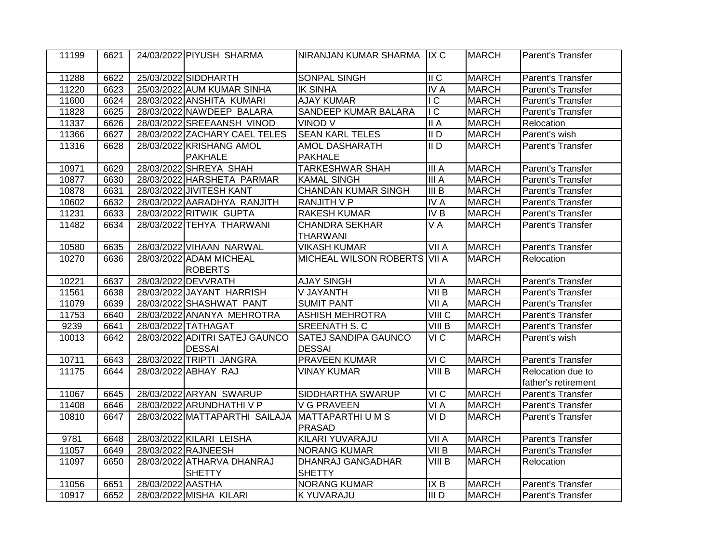| 11199 | 6621 |                   | 24/03/2022 PIYUSH SHARMA       | NIRANJAN KUMAR SHARMA IIX C  |                           | <b>MARCH</b> | Parent's Transfer   |
|-------|------|-------------------|--------------------------------|------------------------------|---------------------------|--------------|---------------------|
| 11288 | 6622 |                   | 25/03/2022 SIDDHARTH           | <b>SONPAL SINGH</b>          | $\overline{\mathsf{I}}$ C | <b>MARCH</b> | Parent's Transfer   |
| 11220 | 6623 |                   | 25/03/2022 AUM KUMAR SINHA     | <b>IK SINHA</b>              | <b>IVA</b>                | <b>MARCH</b> | Parent's Transfer   |
| 11600 | 6624 |                   | 28/03/2022 ANSHITA KUMARI      | <b>AJAY KUMAR</b>            | $\overline{C}$            | <b>MARCH</b> | Parent's Transfer   |
| 11828 | 6625 |                   | 28/03/2022 NAWDEEP BALARA      | SANDEEP KUMAR BALARA         | $\overline{C}$            | <b>MARCH</b> | Parent's Transfer   |
| 11337 | 6626 |                   | 28/03/2022 SREEAANSH VINOD     | VINOD V                      | II A                      | <b>MARCH</b> | Relocation          |
| 11366 | 6627 |                   | 28/03/2022 ZACHARY CAEL TELES  | <b>SEAN KARL TELES</b>       | $\overline{II}$           | <b>MARCH</b> | Parent's wish       |
| 11316 | 6628 |                   | 28/03/2022 KRISHANG AMOL       | AMOL DASHARATH               | $\overline{II}$           | <b>MARCH</b> | Parent's Transfer   |
|       |      |                   | <b>PAKHALE</b>                 | <b>PAKHALE</b>               |                           |              |                     |
| 10971 | 6629 |                   | 28/03/2022 SHREYA SHAH         | <b>TARKESHWAR SHAH</b>       | III A                     | <b>MARCH</b> | Parent's Transfer   |
| 10877 | 6630 |                   | 28/03/2022 HARSHETA PARMAR     | <b>KAMAL SINGH</b>           | III A                     | <b>MARCH</b> | Parent's Transfer   |
| 10878 | 6631 |                   | 28/03/2022 JIVITESH KANT       | <b>CHANDAN KUMAR SINGH</b>   | $\overline{III}$ B        | <b>MARCH</b> | Parent's Transfer   |
| 10602 | 6632 |                   | 28/03/2022 AARADHYA RANJITH    | <b>RANJITH V P</b>           | <b>IVA</b>                | <b>MARCH</b> | Parent's Transfer   |
| 11231 | 6633 |                   | 28/03/2022 RITWIK GUPTA        | <b>RAKESH KUMAR</b>          | IVB                       | <b>MARCH</b> | Parent's Transfer   |
| 11482 | 6634 |                   | 28/03/2022 TEHYA THARWANI      | <b>CHANDRA SEKHAR</b>        | $V\overline{A}$           | <b>MARCH</b> | Parent's Transfer   |
|       |      |                   |                                | <b>THARWANI</b>              |                           |              |                     |
| 10580 | 6635 |                   | 28/03/2022 VIHAAN NARWAL       | <b>VIKASH KUMAR</b>          | VII A                     | <b>MARCH</b> | Parent's Transfer   |
| 10270 | 6636 |                   | 28/03/2022 ADAM MICHEAL        | MICHEAL WILSON ROBERTS VII A |                           | <b>MARCH</b> | Relocation          |
|       |      |                   | <b>ROBERTS</b>                 |                              |                           |              |                     |
| 10221 | 6637 |                   | 28/03/2022 DEVVRATH            | <b>AJAY SINGH</b>            | VI A                      | <b>MARCH</b> | Parent's Transfer   |
| 11561 | 6638 |                   | 28/03/2022 JAYANT HARRISH      | <b>V JAYANTH</b>             | VII B                     | <b>MARCH</b> | Parent's Transfer   |
| 11079 | 6639 |                   | 28/03/2022 SHASHWAT PANT       | <b>SUMIT PANT</b>            | $\overline{V}$ II A       | <b>MARCH</b> | Parent's Transfer   |
| 11753 | 6640 |                   | 28/03/2022 ANANYA MEHROTRA     | <b>ASHISH MEHROTRA</b>       | VIII <sub>C</sub>         | <b>MARCH</b> | Parent's Transfer   |
| 9239  | 6641 |                   | 28/03/2022 TATHAGAT            | <b>SREENATH S. C</b>         | VIII B                    | <b>MARCH</b> | Parent's Transfer   |
| 10013 | 6642 |                   | 28/03/2022 ADITRI SATEJ GAUNCO | <b>SATEJ SANDIPA GAUNCO</b>  | VI C                      | <b>MARCH</b> | Parent's wish       |
|       |      |                   | <b>DESSAI</b>                  | <b>DESSAI</b>                |                           |              |                     |
| 10711 | 6643 |                   | 28/03/2022 TRIPTI JANGRA       | <b>PRAVEEN KUMAR</b>         | VIC                       | <b>MARCH</b> | Parent's Transfer   |
| 11175 | 6644 |                   | 28/03/2022 ABHAY RAJ           | <b>VINAY KUMAR</b>           | VIII B                    | <b>MARCH</b> | Relocation due to   |
|       |      |                   |                                |                              |                           |              | father's retirement |
| 11067 | 6645 |                   | 28/03/2022 ARYAN SWARUP        | SIDDHARTHA SWARUP            | $\overline{V}$ C          | <b>MARCH</b> | Parent's Transfer   |
| 11408 | 6646 |                   | 28/03/2022 ARUNDHATHI V P      | <b>V G PRAVEEN</b>           | VI A                      | <b>MARCH</b> | Parent's Transfer   |
| 10810 | 6647 |                   | 28/03/2022 MATTAPARTHI SAILAJA | MATTAPARTHI U M S            | VI <sub>D</sub>           | <b>MARCH</b> | Parent's Transfer   |
|       |      |                   |                                | PRASAD                       |                           |              |                     |
| 9781  | 6648 |                   | 28/03/2022 KILARI LEISHA       | KILARI YUVARAJU              | $\overline{\text{VII}}$ A | <b>MARCH</b> | Parent's Transfer   |
| 11057 | 6649 |                   | 28/03/2022 RAJNEESH            | <b>NORANG KUMAR</b>          | VII B                     | <b>MARCH</b> | Parent's Transfer   |
| 11097 | 6650 |                   | 28/03/2022 ATHARVA DHANRAJ     | DHANRAJ GANGADHAR            | $VIII$ B                  | <b>MARCH</b> | Relocation          |
|       |      |                   | <b>SHETTY</b>                  | <b>SHETTY</b>                |                           |              |                     |
| 11056 | 6651 | 28/03/2022 AASTHA |                                | <b>NORANG KUMAR</b>          | IX B                      | <b>MARCH</b> | Parent's Transfer   |
| 10917 | 6652 |                   | 28/03/2022 MISHA KILARI        | <b>K YUVARAJU</b>            | III D                     | <b>MARCH</b> | Parent's Transfer   |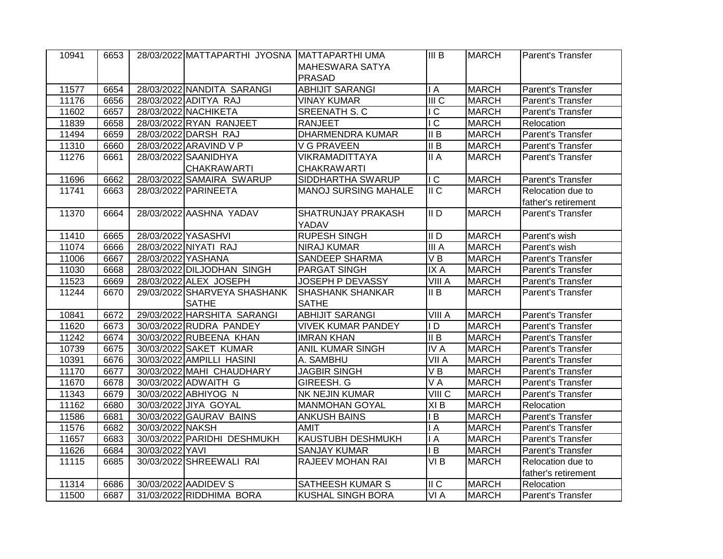| 10941 | 6653 |                     | 28/03/2022 MATTAPARTHI JYOSNA MATTAPARTHI UMA |                             | III B                              | <b>MARCH</b> | Parent's Transfer   |
|-------|------|---------------------|-----------------------------------------------|-----------------------------|------------------------------------|--------------|---------------------|
|       |      |                     |                                               | <b>MAHESWARA SATYA</b>      |                                    |              |                     |
|       |      |                     |                                               | <b>PRASAD</b>               |                                    |              |                     |
| 11577 | 6654 |                     | 28/03/2022 NANDITA SARANGI                    | <b>ABHIJIT SARANGI</b>      | $\overline{A}$                     | <b>MARCH</b> | Parent's Transfer   |
| 11176 | 6656 |                     | 28/03/2022 ADITYA RAJ                         | <b>VINAY KUMAR</b>          | $\overline{m}$                     | <b>MARCH</b> | Parent's Transfer   |
| 11602 | 6657 |                     | 28/03/2022 NACHIKETA                          | <b>SREENATH S. C</b>        | $\overline{C}$                     | <b>MARCH</b> | Parent's Transfer   |
| 11839 | 6658 |                     | 28/03/2022 RYAN RANJEET                       | <b>RANJEET</b>              | IC                                 | <b>MARCH</b> | Relocation          |
| 11494 | 6659 |                     | 28/03/2022 DARSH RAJ                          | <b>DHARMENDRA KUMAR</b>     | $\overline{II}$ B                  | <b>MARCH</b> | Parent's Transfer   |
| 11310 | 6660 |                     | 28/03/2022 ARAVIND V P                        | <b>V G PRAVEEN</b>          | $\overline{II}$ B                  | <b>MARCH</b> | Parent's Transfer   |
| 11276 | 6661 |                     | 28/03/2022 SAANIDHYA                          | <b>VIKRAMADITTAYA</b>       | $\overline{\mathsf{II}}$ A         | <b>MARCH</b> | Parent's Transfer   |
|       |      |                     | <b>CHAKRAWARTI</b>                            | <b>CHAKRAWARTI</b>          |                                    |              |                     |
| 11696 | 6662 |                     | 28/03/2022 SAMAIRA SWARUP                     | SIDDHARTHA SWARUP           | $\overline{\overline{\mathsf{C}}}$ | <b>MARCH</b> | Parent's Transfer   |
| 11741 | 6663 |                     | 28/03/2022 PARINEETA                          | <b>MANOJ SURSING MAHALE</b> | II C                               | <b>MARCH</b> | Relocation due to   |
|       |      |                     |                                               |                             |                                    |              | father's retirement |
| 11370 | 6664 |                     | 28/03/2022 AASHNA YADAV                       | SHATRUNJAY PRAKASH          | $\overline{I}$                     | <b>MARCH</b> | Parent's Transfer   |
|       |      |                     |                                               | YADAV                       |                                    |              |                     |
| 11410 | 6665 | 28/03/2022 YASASHVI |                                               | <b>RUPESH SINGH</b>         | $\overline{1}$                     | <b>MARCH</b> | Parent's wish       |
| 11074 | 6666 |                     | 28/03/2022 NIYATI RAJ                         | <b>NIRAJ KUMAR</b>          | IIIA                               | <b>MARCH</b> | Parent's wish       |
| 11006 | 6667 | 28/03/2022 YASHANA  |                                               | <b>SANDEEP SHARMA</b>       | $V$ B                              | <b>MARCH</b> | Parent's Transfer   |
| 11030 | 6668 |                     | 28/03/2022 DILJODHAN SINGH                    | PARGAT SINGH                | IX A                               | <b>MARCH</b> | Parent's Transfer   |
| 11523 | 6669 |                     | 28/03/2022 ALEX JOSEPH                        | JOSEPH P DEVASSY            | VIII A                             | <b>MARCH</b> | Parent's Transfer   |
| 11244 | 6670 |                     | 29/03/2022 SHARVEYA SHASHANK                  | <b>SHASHANK SHANKAR</b>     | II B                               | <b>MARCH</b> | Parent's Transfer   |
|       |      |                     | <b>SATHE</b>                                  | <b>SATHE</b>                |                                    |              |                     |
| 10841 | 6672 |                     | 29/03/2022 HARSHITA SARANGI                   | <b>ABHIJIT SARANGI</b>      | VIII A                             | <b>MARCH</b> | Parent's Transfer   |
| 11620 | 6673 |                     | 30/03/2022 RUDRA PANDEY                       | <b>VIVEK KUMAR PANDEY</b>   | ID                                 | <b>MARCH</b> | Parent's Transfer   |
| 11242 | 6674 |                     | 30/03/2022 RUBEENA KHAN                       | <b>IMRAN KHAN</b>           | II B                               | <b>MARCH</b> | Parent's Transfer   |
| 10739 | 6675 |                     | 30/03/2022 SAKET KUMAR                        | <b>ANIL KUMAR SINGH</b>     | <b>IVA</b>                         | <b>MARCH</b> | Parent's Transfer   |
| 10391 | 6676 |                     | 30/03/2022 AMPILLI HASINI                     | A. SAMBHU                   | VII A                              | <b>MARCH</b> | Parent's Transfer   |
| 11170 | 6677 |                     | 30/03/2022 MAHI CHAUDHARY                     | <b>JAGBIR SINGH</b>         | VB                                 | <b>MARCH</b> | Parent's Transfer   |
| 11670 | 6678 |                     | 30/03/2022 ADWAITH G                          | GIREESH. G                  | $\overline{V}A$                    | <b>MARCH</b> | Parent's Transfer   |
| 11343 | 6679 |                     | 30/03/2022 ABHIYOG N                          | <b>NK NEJIN KUMAR</b>       | $\overline{V}$ III C               | <b>MARCH</b> | Parent's Transfer   |
| 11162 | 6680 |                     | 30/03/2022 JIYA GOYAL                         | <b>MANMOHAN GOYAL</b>       | XI <sub>B</sub>                    | <b>MARCH</b> | Relocation          |
| 11586 | 6681 |                     | 30/03/2022 GAURAV BAINS                       | <b>ANKUSH BAINS</b>         | IB                                 | <b>MARCH</b> | Parent's Transfer   |
| 11576 | 6682 | 30/03/2022 NAKSH    |                                               | <b>AMIT</b>                 | $\overline{A}$                     | <b>MARCH</b> | Parent's Transfer   |
| 11657 | 6683 |                     | 30/03/2022 PARIDHI DESHMUKH                   | <b>KAUSTUBH DESHMUKH</b>    | $\mathsf{I}$ A                     | <b>MARCH</b> | Parent's Transfer   |
| 11626 | 6684 | 30/03/2022 YAVI     |                                               | <b>SANJAY KUMAR</b>         | $\mathsf{I}$ B                     | <b>MARCH</b> | Parent's Transfer   |
| 11115 | 6685 |                     | 30/03/2022 SHREEWALI RAI                      | RAJEEV MOHAN RAI            | VI <sub>B</sub>                    | <b>MARCH</b> | Relocation due to   |
|       |      |                     |                                               |                             |                                    |              | father's retirement |
| 11314 | 6686 |                     | 30/03/2022 AADIDEV S                          | SATHEESH KUMAR S            | II C                               | <b>MARCH</b> | Relocation          |
| 11500 | 6687 |                     | 31/03/2022 RIDDHIMA BORA                      | <b>KUSHAL SINGH BORA</b>    | VI A                               | <b>MARCH</b> | Parent's Transfer   |